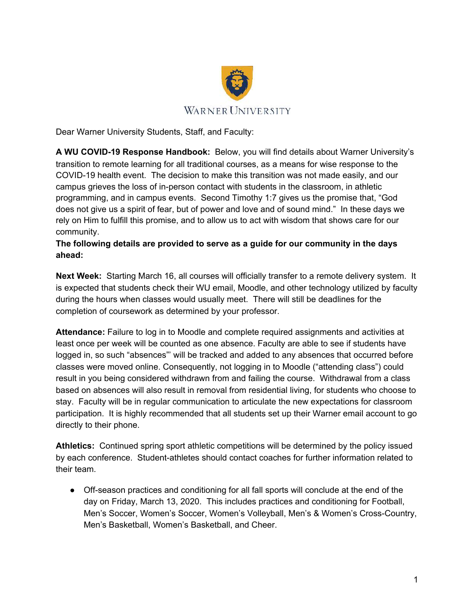

Dear Warner University Students, Staff, and Faculty:

**A WU COVID-19 Response Handbook:** Below, you will find details about Warner University's transition to remote learning for all traditional courses, as a means for wise response to the COVID-19 health event. The decision to make this transition was not made easily, and our campus grieves the loss of in-person contact with students in the classroom, in athletic programming, and in campus events. Second Timothy 1:7 gives us the promise that, "God does not give us a spirit of fear, but of power and love and of sound mind." In these days we rely on Him to fulfill this promise, and to allow us to act with wisdom that shows care for our community.

## **The following details are provided to serve as a guide for our community in the days ahead:**

**Next Week:** Starting March 16, all courses will officially transfer to a remote delivery system. It is expected that students check their WU email, Moodle, and other technology utilized by faculty during the hours when classes would usually meet. There will still be deadlines for the completion of coursework as determined by your professor.

**Attendance:** Failure to log in to Moodle and complete required assignments and activities at least once per week will be counted as one absence. Faculty are able to see if students have logged in, so such "absences"' will be tracked and added to any absences that occurred before classes were moved online. Consequently, not logging in to Moodle ("attending class") could result in you being considered withdrawn from and failing the course. Withdrawal from a class based on absences will also result in removal from residential living, for students who choose to stay. Faculty will be in regular communication to articulate the new expectations for classroom participation. It is highly recommended that all students set up their Warner email account to go directly to their phone.

**Athletics:** Continued spring sport athletic competitions will be determined by the policy issued by each conference. Student-athletes should contact coaches for further information related to their team.

● Off-season practices and conditioning for all fall sports will conclude at the end of the day on Friday, March 13, 2020. This includes practices and conditioning for Football, Men's Soccer, Women's Soccer, Women's Volleyball, Men's & Women's Cross-Country, Men's Basketball, Women's Basketball, and Cheer.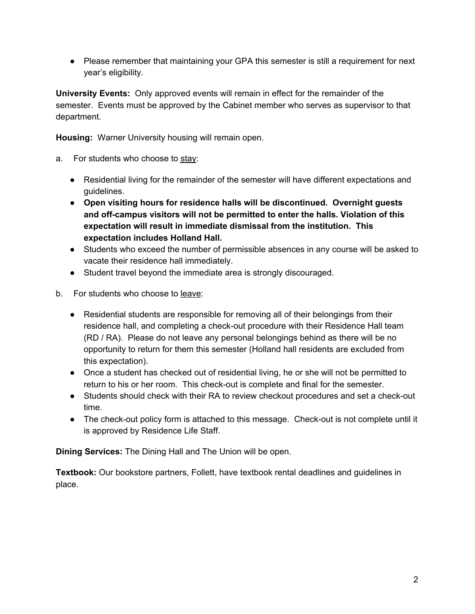● Please remember that maintaining your GPA this semester is still a requirement for next year's eligibility.

**University Events:** Only approved events will remain in effect for the remainder of the semester. Events must be approved by the Cabinet member who serves as supervisor to that department.

**Housing:** Warner University housing will remain open.

- a. For students who choose to stay:
	- Residential living for the remainder of the semester will have different expectations and guidelines.
	- **Open visiting hours for residence halls will be discontinued. Overnight guests and off-campus visitors will not be permitted to enter the halls. Violation of this expectation will result in immediate dismissal from the institution. This expectation includes Holland Hall.**
	- Students who exceed the number of permissible absences in any course will be asked to vacate their residence hall immediately.
	- Student travel beyond the immediate area is strongly discouraged.
- b. For students who choose to leave:
	- Residential students are responsible for removing all of their belongings from their residence hall, and completing a check-out procedure with their Residence Hall team (RD / RA). Please do not leave any personal belongings behind as there will be no opportunity to return for them this semester (Holland hall residents are excluded from this expectation).
	- Once a student has checked out of residential living, he or she will not be permitted to return to his or her room. This check-out is complete and final for the semester.
	- Students should check with their RA to review checkout procedures and set a check-out time.
	- The check-out policy form is attached to this message. Check-out is not complete until it is approved by Residence Life Staff.

**Dining Services:** The Dining Hall and The Union will be open.

**Textbook:** Our bookstore partners, Follett, have textbook rental deadlines and guidelines in place.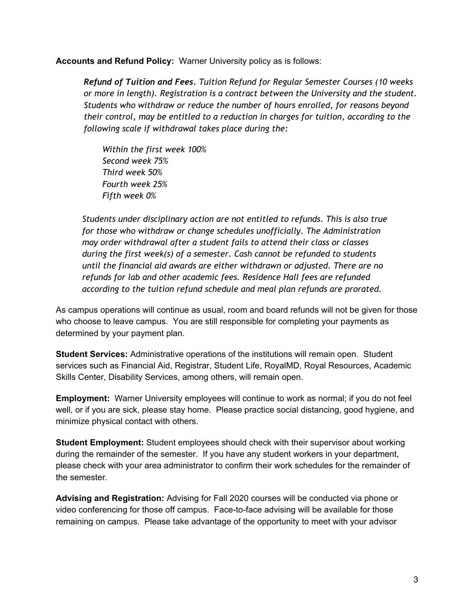**Accounts and Refund Policy:** Warner University policy as is follows:

*Refund of Tuition and Fees. Tuition Refund for Regular Semester Courses (10 weeks or more in length). Registration is a contract between the University and the student. Students who withdraw or reduce the number of hours enrolled, for reasons beyond their control, may be entitled to a reduction in charges for tuition, according to the following scale if withdrawal takes place during the:* 

*Within the first week 100% Second week 75% Third week 50% Fourth week 25% Fifth week 0%* 

 *Students under disciplinary action are not entitled to refunds. This is also true for those who withdraw or change schedules unofficially. The Administration may order withdrawal after a student fails to attend their class or classes during the first week(s) of a semester. Cash cannot be refunded to students until the financial aid awards are either withdrawn or adjusted. There are no refunds for lab and other academic fees. Residence Hall fees are refunded according to the tuition refund schedule and meal plan refunds are prorated.* 

As campus operations will continue as usual, room and board refunds will not be given for those who choose to leave campus. You are still responsible for completing your payments as determined by your payment plan.

**Student Services:** Administrative operations of the institutions will remain open. Student services such as Financial Aid, Registrar, Student Life, RoyalMD, Royal Resources, Academic Skills Center, Disability Services, among others, will remain open.

**Employment:** Warner University employees will continue to work as normal; if you do not feel well, or if you are sick, please stay home. Please practice social distancing, good hygiene, and minimize physical contact with others.

**Student Employment:** Student employees should check with their supervisor about working during the remainder of the semester. If you have any student workers in your department, please check with your area administrator to confirm their work schedules for the remainder of the semester.

**Advising and Registration:** Advising for Fall 2020 courses will be conducted via phone or video conferencing for those off campus. Face-to-face advising will be available for those remaining on campus. Please take advantage of the opportunity to meet with your advisor